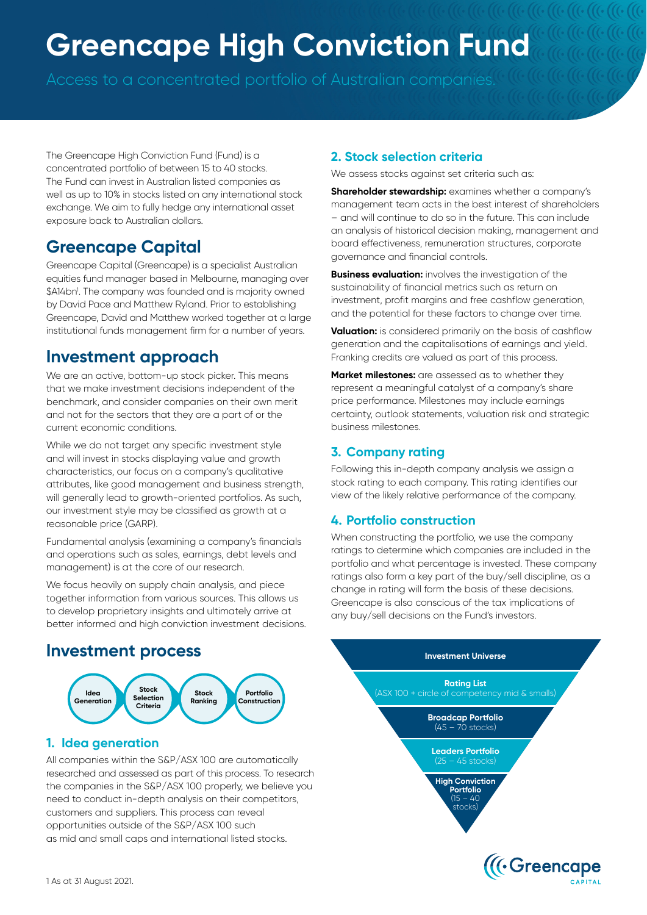# **Greencape High Conviction Fund**

Access to a concentrated portfolio of Australian companies.

The Greencape High Conviction Fund (Fund) is a concentrated portfolio of between 15 to 40 stocks. The Fund can invest in Australian listed companies as well as up to 10% in stocks listed on any international stock exchange. We aim to fully hedge any international asset exposure back to Australian dollars.

# **Greencape Capital**

Greencape Capital (Greencape) is a specialist Australian equities fund manager based in Melbourne, managing over \$A14bn1 . The company was founded and is majority owned by David Pace and Matthew Ryland. Prior to establishing Greencape, David and Matthew worked together at a large institutional funds management firm for a number of years.

## **Investment approach**

We are an active, bottom-up stock picker. This means that we make investment decisions independent of the benchmark, and consider companies on their own merit and not for the sectors that they are a part of or the current economic conditions.

While we do not target any specific investment style and will invest in stocks displaying value and growth characteristics, our focus on a company's qualitative attributes, like good management and business strength, will generally lead to growth-oriented portfolios. As such, our investment style may be classified as growth at a reasonable price (GARP).

Fundamental analysis (examining a company's financials and operations such as sales, earnings, debt levels and management) is at the core of our research.

We focus heavily on supply chain analysis, and piece together information from various sources. This allows us to develop proprietary insights and ultimately arrive at better informed and high conviction investment decisions.

### **Investment process**



#### **1. Idea generation**

All companies within the S&P/ASX 100 are automatically researched and assessed as part of this process. To research the companies in the S&P/ASX 100 properly, we believe you need to conduct in-depth analysis on their competitors, customers and suppliers. This process can reveal opportunities outside of the S&P/ASX 100 such as mid and small caps and international listed stocks.

#### **2. Stock selection criteria**

We assess stocks against set criteria such as:

**Shareholder stewardship:** examines whether a company's management team acts in the best interest of shareholders – and will continue to do so in the future. This can include an analysis of historical decision making, management and board effectiveness, remuneration structures, corporate governance and financial controls.

**Business evaluation:** involves the investigation of the sustainability of financial metrics such as return on investment, profit margins and free cashflow generation, and the potential for these factors to change over time.

**Valuation:** is considered primarily on the basis of cashflow generation and the capitalisations of earnings and yield. Franking credits are valued as part of this process.

**Market milestones:** are assessed as to whether they represent a meaningful catalyst of a company's share price performance. Milestones may include earnings certainty, outlook statements, valuation risk and strategic business milestones.

#### **3. Company rating**

Following this in-depth company analysis we assign a stock rating to each company. This rating identifies our view of the likely relative performance of the company.

#### **4. Portfolio construction**

When constructing the portfolio, we use the company ratings to determine which companies are included in the portfolio and what percentage is invested. These company ratings also form a key part of the buy/sell discipline, as a change in rating will form the basis of these decisions. Greencape is also conscious of the tax implications of any buy/sell decisions on the Fund's investors.